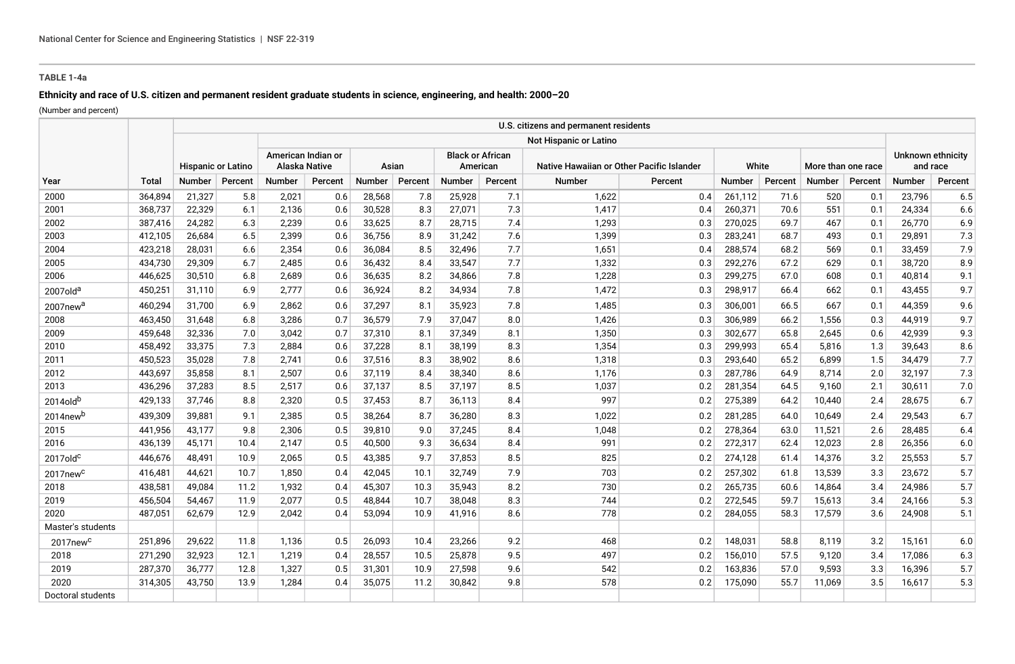## **TABLE 1-4a**

# **Ethnicity and race of U.S. citizen and permanent resident graduate students in science, engineering, and health: 2000–20**

(Number and percent)

| Year                 | Total   |                           |         |                                     |         |               |         |                                     |         | U.S. citizens and permanent residents     |         |         |         |                    |         |                               |         |
|----------------------|---------|---------------------------|---------|-------------------------------------|---------|---------------|---------|-------------------------------------|---------|-------------------------------------------|---------|---------|---------|--------------------|---------|-------------------------------|---------|
|                      |         | <b>Hispanic or Latino</b> |         | <b>Not Hispanic or Latino</b>       |         |               |         |                                     |         |                                           |         |         |         |                    |         |                               |         |
|                      |         |                           |         | American Indian or<br>Alaska Native |         | Asian         |         | <b>Black or African</b><br>American |         | Native Hawaiian or Other Pacific Islander |         | White   |         | More than one race |         | Unknown ethnicity<br>and race |         |
|                      |         | <b>Number</b>             | Percent | <b>Number</b>                       | Percent | <b>Number</b> | Percent | Number                              | Percent | <b>Number</b>                             | Percent | Number  | Percent | <b>Number</b>      | Percent | <b>Number</b>                 | Percent |
| 2000                 | 364,894 | 21,327                    | 5.8     | 2,021                               | 0.6     | 28,568        | 7.8     | 25,928                              | 7.1     | 1,622                                     | 0.4     | 261,112 | 71.6    | 520                | 0.1     | 23,796                        | 6.5     |
| 2001                 | 368,737 | 22,329                    | 6.1     | 2,136                               | 0.6     | 30,528        | 8.3     | 27,071                              | 7.3     | 1,417                                     | 0.4     | 260,371 | 70.6    | 551                | 0.1     | 24,334                        | 6.6     |
| 2002                 | 387,416 | 24,282                    | 6.3     | 2,239                               | 0.6     | 33,625        | 8.7     | 28,715                              | 7.4     | 1,293                                     | 0.3     | 270,025 | 69.7    | 467                | 0.1     | 26,770                        | 6.9     |
| 2003                 | 412,105 | 26,684                    | 6.5     | 2,399                               | 0.6     | 36,756        | 8.9     | 31,242                              | 7.6     | 1,399                                     | 0.3     | 283,241 | 68.7    | 493                | 0.1     | 29,891                        | 7.3     |
| 2004                 | 423,218 | 28,031                    | 6.6     | 2,354                               | 0.6     | 36,084        | 8.5     | 32,496                              | 7.7     | 1,651                                     | 0.4     | 288,574 | 68.2    | 569                | 0.1     | 33,459                        | 7.9     |
| 2005                 | 434,730 | 29,309                    | 6.7     | 2,485                               | 0.6     | 36,432        | 8.4     | 33,547                              | 7.7     | 1,332                                     | 0.3     | 292,276 | 67.2    | 629                | 0.1     | 38,720                        | 8.9     |
| 2006                 | 446,625 | 30,510                    | 6.8     | 2,689                               | 0.6     | 36,635        | 8.2     | 34,866                              | 7.8     | 1,228                                     | 0.3     | 299,275 | 67.0    | 608                | 0.1     | 40,814                        | 9.1     |
| 2007olda             | 450,251 | 31,110                    | 6.9     | 2,777                               | 0.6     | 36,924        | 8.2     | 34,934                              | 7.8     | 1,472                                     | 0.3     | 298,917 | 66.4    | 662                | 0.1     | 43,455                        | 9.7     |
| 2007new <sup>a</sup> | 460,294 | 31,700                    | 6.9     | 2,862                               | 0.6     | 37,297        | 8.1     | 35,923                              | 7.8     | 1,485                                     | 0.3     | 306,001 | 66.5    | 667                | 0.1     | 44,359                        | 9.6     |
| 2008                 | 463,450 | 31,648                    | 6.8     | 3,286                               | 0.7     | 36,579        | 7.9     | 37,047                              | 8.0     | 1,426                                     | 0.3     | 306,989 | 66.2    | 1,556              | 0.3     | 44,919                        | 9.7     |
| 2009                 | 459,648 | 32,336                    | 7.0     | 3,042                               | 0.7     | 37,310        | 8.1     | 37.349                              | 8.1     | 1,350                                     | 0.3     | 302,677 | 65.8    | 2.645              | 0.6     | 42,939                        | 9.3     |
| 2010                 | 458,492 | 33,375                    | 7.3     | 2,884                               | 0.6     | 37,228        | 8.1     | 38,199                              | 8.3     | 1,354                                     | 0.3     | 299,993 | 65.4    | 5,816              | 1.3     | 39,643                        | 8.6     |
| 2011                 | 450,523 | 35,028                    | 7.8     | 2,741                               | 0.6     | 37,516        | 8.3     | 38,902                              | 8.6     | 1,318                                     | 0.3     | 293,640 | 65.2    | 6,899              | 1.5     | 34,479                        | 7.7     |
| 2012                 | 443,697 | 35,858                    | 8.1     | 2,507                               | 0.6     | 37,119        | 8.4     | 38,340                              | 8.6     | 1,176                                     | 0.3     | 287,786 | 64.9    | 8,714              | 2.0     | 32,197                        | 7.3     |
| 2013                 | 436,296 | 37,283                    | 8.5     | 2,517                               | 0.6     | 37,137        | 8.5     | 37,197                              | 8.5     | 1,037                                     | 0.2     | 281,354 | 64.5    | 9,160              | 2.1     | 30,611                        | 7.0     |
| 2014oldb             | 429,133 | 37,746                    | 8.8     | 2,320                               | 0.5     | 37,453        | 8.7     | 36,113                              | 8.4     | 997                                       | 0.2     | 275,389 | 64.2    | 10,440             | 2.4     | 28,675                        | 6.7     |
| 2014newb             | 439,309 | 39,881                    | 9.1     | 2,385                               | 0.5     | 38,264        | 8.7     | 36,280                              | 8.3     | 1,022                                     | 0.2     | 281,285 | 64.0    | 10,649             | 2.4     | 29,543                        | 6.7     |
| 2015                 | 441,956 | 43,177                    | 9.8     | 2,306                               | 0.5     | 39,810        | 9.0     | 37,245                              | 8.4     | 1,048                                     | 0.2     | 278,364 | 63.0    | 11,521             | 2.6     | 28,485                        | 6.4     |
| 2016                 | 436,139 | 45,171                    | 10.4    | 2,147                               | 0.5     | 40,500        | 9.3     | 36,634                              | 8.4     | 991                                       | 0.2     | 272,317 | 62.4    | 12,023             | 2.8     | 26,356                        | 6.0     |
| $2017$ old $c$       | 446,676 | 48,491                    | 10.9    | 2,065                               | 0.5     | 43,385        | 9.7     | 37,853                              | 8.5     | 825                                       | 0.2     | 274,128 | 61.4    | 14,376             | 3.2     | 25,553                        | 5.7     |
| 2017new <sup>c</sup> | 416,481 | 44,621                    | 10.7    | 1,850                               | 0.4     | 42,045        | 10.1    | 32,749                              | 7.9     | 703                                       | 0.2     | 257,302 | 61.8    | 13,539             | 3.3     | 23,672                        | 5.7     |
| 2018                 | 438,581 | 49,084                    | 11.2    | 1,932                               | 0.4     | 45,307        | 10.3    | 35,943                              | 8.2     | 730                                       | 0.2     | 265,735 | 60.6    | 14,864             | 3.4     | 24,986                        | 5.7     |
| 2019                 | 456,504 | 54,467                    | 11.9    | 2,077                               | 0.5     | 48,844        | 10.7    | 38,048                              | 8.3     | 744                                       | 0.2     | 272,545 | 59.7    | 15,613             | 3.4     | 24,166                        | 5.3     |
| 2020                 | 487,051 | 62,679                    | 12.9    | 2,042                               | 0.4     | 53,094        | 10.9    | 41,916                              | 8.6     | 778                                       | 0.2     | 284,055 | 58.3    | 17,579             | 3.6     | 24,908                        | 5.1     |
| Master's students    |         |                           |         |                                     |         |               |         |                                     |         |                                           |         |         |         |                    |         |                               |         |
| 2017new <sup>c</sup> | 251,896 | 29,622                    | 11.8    | 1,136                               | 0.5     | 26,093        | 10.4    | 23,266                              | 9.2     | 468                                       | 0.2     | 148,031 | 58.8    | 8,119              | 3.2     | 15,161                        | 6.0     |
| 2018                 | 271,290 | 32,923                    | 12.1    | 1,219                               | 0.4     | 28,557        | 10.5    | 25,878                              | 9.5     | 497                                       | 0.2     | 156,010 | 57.5    | 9,120              | 3.4     | 17,086                        | 6.3     |
| 2019                 | 287,370 | 36,777                    | 12.8    | 1,327                               | 0.5     | 31,301        | 10.9    | 27,598                              | 9.6     | 542                                       | 0.2     | 163,836 | 57.0    | 9,593              | 3.3     | 16,396                        | 5.7     |
| 2020                 | 314,305 | 43,750                    | 13.9    | 1,284                               | 0.4     | 35,075        | 11.2    | 30,842                              | 9.8     | 578                                       | 0.2     | 175,090 | 55.7    | 11,069             | 3.5     | 16,617                        | 5.3     |
| Doctoral students    |         |                           |         |                                     |         |               |         |                                     |         |                                           |         |         |         |                    |         |                               |         |